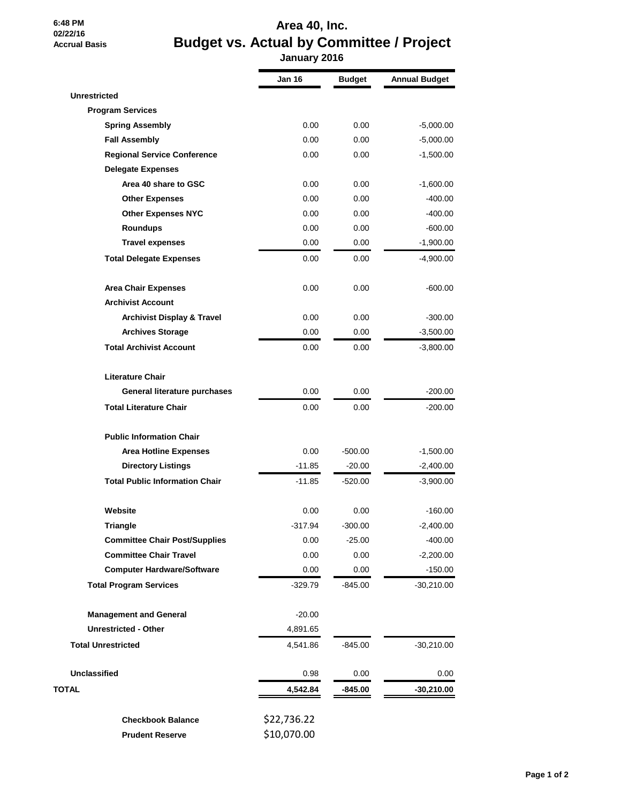## **6:48 PM 02/22/16 Accrual Basis**

## **Area 40, Inc. Budget vs. Actual by Committee / Project January 2016**

|                                       | Jan 16      | <b>Budget</b> | <b>Annual Budget</b> |
|---------------------------------------|-------------|---------------|----------------------|
| <b>Unrestricted</b>                   |             |               |                      |
| <b>Program Services</b>               |             |               |                      |
| <b>Spring Assembly</b>                | 0.00        | 0.00          | $-5,000.00$          |
| <b>Fall Assembly</b>                  | 0.00        | 0.00          | $-5,000.00$          |
| <b>Regional Service Conference</b>    | 0.00        | 0.00          | $-1,500.00$          |
| <b>Delegate Expenses</b>              |             |               |                      |
| Area 40 share to GSC                  | 0.00        | 0.00          | $-1,600.00$          |
| <b>Other Expenses</b>                 | 0.00        | 0.00          | -400.00              |
| <b>Other Expenses NYC</b>             | 0.00        | 0.00          | $-400.00$            |
| <b>Roundups</b>                       | 0.00        | 0.00          | $-600.00$            |
| <b>Travel expenses</b>                | 0.00        | 0.00          | $-1,900.00$          |
| <b>Total Delegate Expenses</b>        | 0.00        | 0.00          | $-4,900.00$          |
| <b>Area Chair Expenses</b>            | 0.00        | 0.00          | $-600.00$            |
| <b>Archivist Account</b>              |             |               |                      |
| <b>Archivist Display &amp; Travel</b> | 0.00        | 0.00          | $-300.00$            |
| <b>Archives Storage</b>               | 0.00        | 0.00          | $-3,500.00$          |
| <b>Total Archivist Account</b>        | 0.00        | 0.00          | $-3,800.00$          |
| <b>Literature Chair</b>               |             |               |                      |
| General literature purchases          | 0.00        | 0.00          | $-200.00$            |
| <b>Total Literature Chair</b>         | 0.00        | 0.00          | $-200.00$            |
| <b>Public Information Chair</b>       |             |               |                      |
| <b>Area Hotline Expenses</b>          | 0.00        | $-500.00$     | $-1,500.00$          |
| <b>Directory Listings</b>             | $-11.85$    | $-20.00$      | $-2,400.00$          |
| <b>Total Public Information Chair</b> | $-11.85$    | -520.00       | $-3,900.00$          |
| Website                               | 0.00        | 0.00          | $-160.00$            |
| <b>Triangle</b>                       | $-317.94$   | $-300.00$     | $-2,400.00$          |
| <b>Committee Chair Post/Supplies</b>  | 0.00        | $-25.00$      | $-400.00$            |
| <b>Committee Chair Travel</b>         | 0.00        | 0.00          | -2,200.00            |
| <b>Computer Hardware/Software</b>     | 0.00        | 0.00          | $-150.00$            |
| <b>Total Program Services</b>         | -329.79     | -845.00       | $-30,210.00$         |
| <b>Management and General</b>         | $-20.00$    |               |                      |
| <b>Unrestricted - Other</b>           | 4,891.65    |               |                      |
| <b>Total Unrestricted</b>             | 4,541.86    | -845.00       | $-30,210.00$         |
| <b>Unclassified</b>                   | 0.98        | 0.00          | 0.00                 |
| TOTAL                                 | 4,542.84    | $-845.00$     | $-30,210.00$         |
| <b>Checkbook Balance</b>              | \$22,736.22 |               |                      |
| <b>Prudent Reserve</b>                | \$10,070.00 |               |                      |